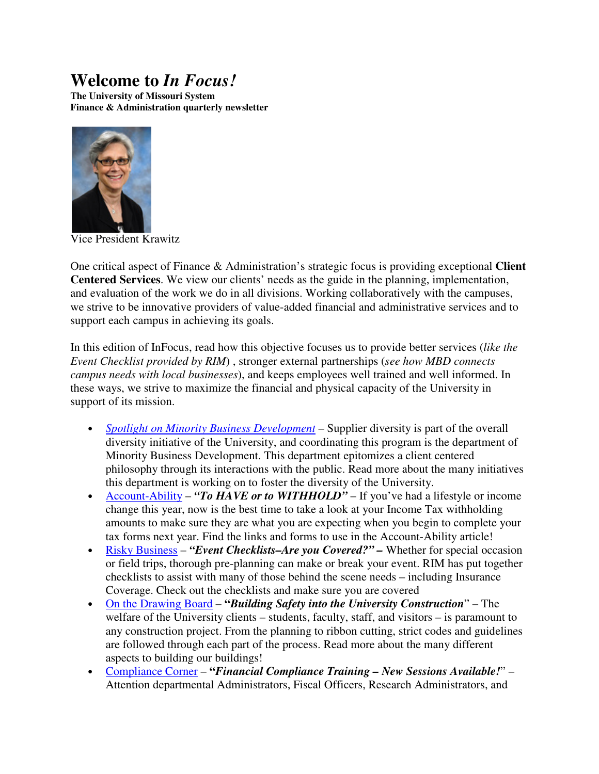# **Welcome to** *In Focus!*

**The University of Missouri System Finance & Administration quarterly newsletter** 



Vice President Krawitz

One critical aspect of Finance & Administration's strategic focus is providing exceptional **Client Centered Services**. We view our clients' needs as the guide in the planning, implementation, and evaluation of the work we do in all divisions. Working collaboratively with the campuses, we strive to be innovative providers of value-added financial and administrative services and to support each campus in achieving its goals.

In this edition of InFocus, read how this objective focuses us to provide better services (*like the Event Checklist provided by RIM*) , stronger external partnerships (*see how MBD connects campus needs with local businesses*), and keeps employees well trained and well informed. In these ways, we strive to maximize the financial and physical capacity of the University in support of its mission.

- *Spotlight on Minority Business Development* Supplier diversity is part of the overall diversity initiative of the University, and coordinating this program is the department of Minority Business Development. This department epitomizes a client centered philosophy through its interactions with the public. Read more about the many initiatives this department is working on to foster the diversity of the University.
- Account-Ability "To HAVE or to WITHHOLD" If you've had a lifestyle or income change this year, now is the best time to take a look at your Income Tax withholding amounts to make sure they are what you are expecting when you begin to complete your tax forms next year. Find the links and forms to use in the Account-Ability article!
- Risky Business "*Event Checklists–Are you Covered?*" Whether for special occasion or field trips, thorough pre-planning can make or break your event. RIM has put together checklists to assist with many of those behind the scene needs – including Insurance Coverage. Check out the checklists and make sure you are covered
- On the Drawing Board **"***Building Safety into the University Construction*" The welfare of the University clients – students, faculty, staff, and visitors – is paramount to any construction project. From the planning to ribbon cutting, strict codes and guidelines are followed through each part of the process. Read more about the many different aspects to building our buildings!
- Compliance Corner **"***Financial Compliance Training New Sessions Available!*" Attention departmental Administrators, Fiscal Officers, Research Administrators, and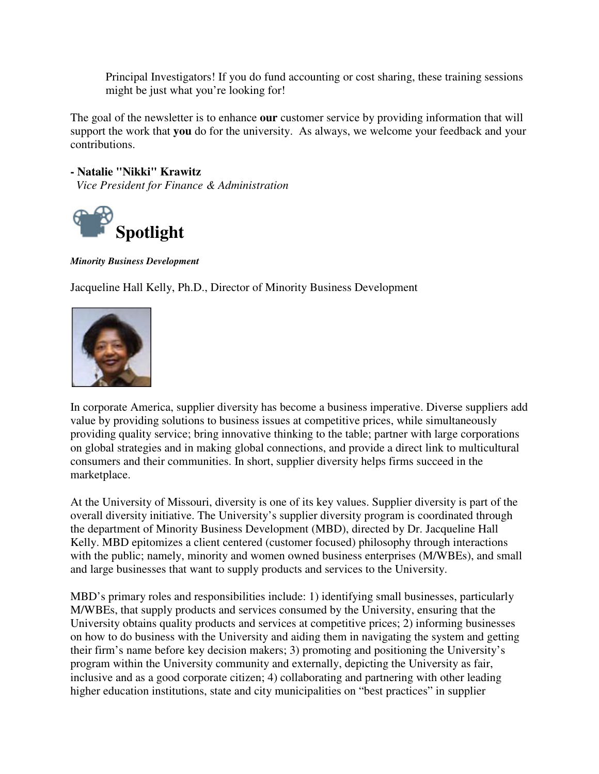Principal Investigators! If you do fund accounting or cost sharing, these training sessions might be just what you're looking for!

The goal of the newsletter is to enhance **our** customer service by providing information that will support the work that **you** do for the university. As always, we welcome your feedback and your contributions.

**- Natalie "Nikki" Krawitz**  *Vice President for Finance & Administration*



*Minority Business Development*

Jacqueline Hall Kelly, Ph.D., Director of Minority Business Development



In corporate America, supplier diversity has become a business imperative. Diverse suppliers add value by providing solutions to business issues at competitive prices, while simultaneously providing quality service; bring innovative thinking to the table; partner with large corporations on global strategies and in making global connections, and provide a direct link to multicultural consumers and their communities. In short, supplier diversity helps firms succeed in the marketplace.

At the University of Missouri, diversity is one of its key values. Supplier diversity is part of the overall diversity initiative. The University's supplier diversity program is coordinated through the department of Minority Business Development (MBD), directed by Dr. Jacqueline Hall Kelly. MBD epitomizes a client centered (customer focused) philosophy through interactions with the public; namely, minority and women owned business enterprises (M/WBEs), and small and large businesses that want to supply products and services to the University.

MBD's primary roles and responsibilities include: 1) identifying small businesses, particularly M/WBEs, that supply products and services consumed by the University, ensuring that the University obtains quality products and services at competitive prices; 2) informing businesses on how to do business with the University and aiding them in navigating the system and getting their firm's name before key decision makers; 3) promoting and positioning the University's program within the University community and externally, depicting the University as fair, inclusive and as a good corporate citizen; 4) collaborating and partnering with other leading higher education institutions, state and city municipalities on "best practices" in supplier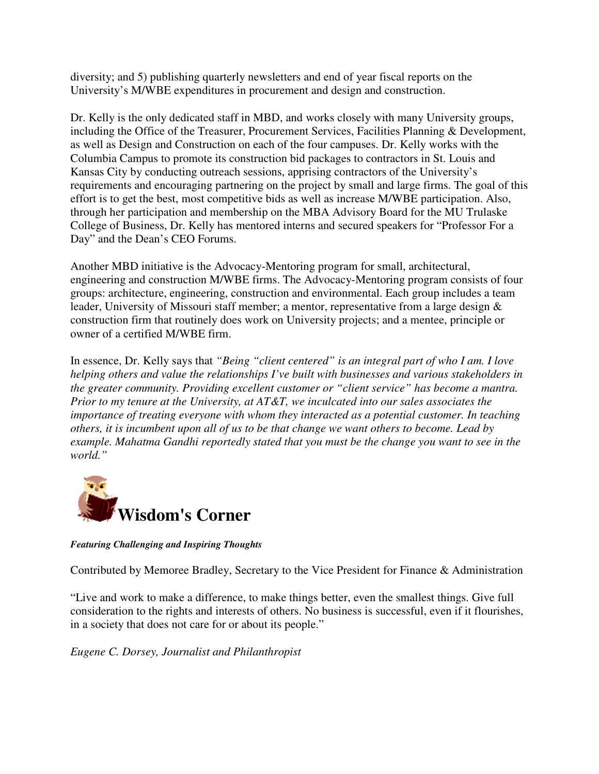diversity; and 5) publishing quarterly newsletters and end of year fiscal reports on the University's M/WBE expenditures in procurement and design and construction.

Dr. Kelly is the only dedicated staff in MBD, and works closely with many University groups, including the Office of the Treasurer, Procurement Services, Facilities Planning & Development, as well as Design and Construction on each of the four campuses. Dr. Kelly works with the Columbia Campus to promote its construction bid packages to contractors in St. Louis and Kansas City by conducting outreach sessions, apprising contractors of the University's requirements and encouraging partnering on the project by small and large firms. The goal of this effort is to get the best, most competitive bids as well as increase M/WBE participation. Also, through her participation and membership on the MBA Advisory Board for the MU Trulaske College of Business, Dr. Kelly has mentored interns and secured speakers for "Professor For a Day" and the Dean's CEO Forums.

Another MBD initiative is the Advocacy-Mentoring program for small, architectural, engineering and construction M/WBE firms. The Advocacy-Mentoring program consists of four groups: architecture, engineering, construction and environmental. Each group includes a team leader, University of Missouri staff member; a mentor, representative from a large design & construction firm that routinely does work on University projects; and a mentee, principle or owner of a certified M/WBE firm.

In essence, Dr. Kelly says that *"Being "client centered" is an integral part of who I am. I love helping others and value the relationships I've built with businesses and various stakeholders in the greater community. Providing excellent customer or "client service" has become a mantra. Prior to my tenure at the University, at AT&T, we inculcated into our sales associates the importance of treating everyone with whom they interacted as a potential customer. In teaching others, it is incumbent upon all of us to be that change we want others to become. Lead by example. Mahatma Gandhi reportedly stated that you must be the change you want to see in the world."*



*Featuring Challenging and Inspiring Thoughts* 

Contributed by Memoree Bradley, Secretary to the Vice President for Finance & Administration

"Live and work to make a difference, to make things better, even the smallest things. Give full consideration to the rights and interests of others. No business is successful, even if it flourishes, in a society that does not care for or about its people."

*Eugene C. Dorsey, Journalist and Philanthropist*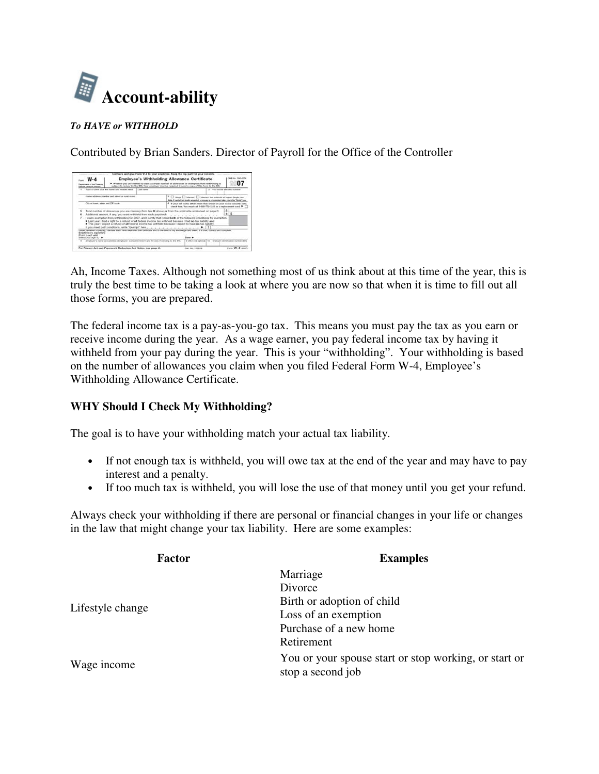

#### *To HAVE or WITHHOLD*

Contributed by Brian Sanders. Director of Payroll for the Office of the Controller

| attract of the Economy<br><b><i><u><u><b>General Planerman Barrison</b></u></u></i></b>                                                                                                                                                                                                                                                                                                                                                                                                                                                        |  |            |                                                                                                                                                   | > Weelbar you are well-feel to claim a certain number of allowances or exemption from withholding is<br>subject to nectaw by the RSS. Your employer may be required to send a copy of this have to the MSL. | 07                              |
|------------------------------------------------------------------------------------------------------------------------------------------------------------------------------------------------------------------------------------------------------------------------------------------------------------------------------------------------------------------------------------------------------------------------------------------------------------------------------------------------------------------------------------------------|--|------------|---------------------------------------------------------------------------------------------------------------------------------------------------|-------------------------------------------------------------------------------------------------------------------------------------------------------------------------------------------------------------|---------------------------------|
| 1. Type or price your first hairs and membe retail.                                                                                                                                                                                                                                                                                                                                                                                                                                                                                            |  | Last liams |                                                                                                                                                   |                                                                                                                                                                                                             | 2 Visa scrital seriodly loading |
| Home address ingelier and sheet or next make:                                                                                                                                                                                                                                                                                                                                                                                                                                                                                                  |  |            |                                                                                                                                                   | <sup>3</sup> C Single C Marinel C Marinel, but withhold at higher timple rate.<br>Bota, if yourlock but kepity separated, or opposes in a terminated plan, visual the "Bright" from                         |                                 |
| City of front, Made, and ZIP code.                                                                                                                                                                                                                                                                                                                                                                                                                                                                                                             |  |            | 4 If your lest reans differs from Bud shown on your woold security card.<br>check here. You must sail 1-805-773-1212 for a replacement card. P. [ |                                                                                                                                                                                                             |                                 |
| œ<br>Total number of allowances you are claiming thom frie H above ar from the applicable worksheet on page 21<br>813<br>Additional amount, if any, you want withheld from wech paycheck<br>I claim exemption from withholding for 2007, and I certify that I meet both of the following conditions for exemption.<br>· Last year I had a right to a return of all federal income tax withheld because I had no tax liability and<br>This year I migoct a return of all federal income tax withheld because I expect to have no tax liability. |  |            |                                                                                                                                                   |                                                                                                                                                                                                             |                                 |
| If you meet both conditions, wite "Exampt" here<br>(Feller penalties of persons it disclore that I have majorated this contribute and to the best of my knowledge and belief. it is true, connect, and complete.<br>Engineer's signature<br>(Elimon), its rated useder-                                                                                                                                                                                                                                                                        |  |            |                                                                                                                                                   | $\rightarrow$                                                                                                                                                                                               |                                 |
| without your store it is a                                                                                                                                                                                                                                                                                                                                                                                                                                                                                                                     |  |            |                                                                                                                                                   | <b>Theme</b> W                                                                                                                                                                                              |                                 |

Ah, Income Taxes. Although not something most of us think about at this time of the year, this is truly the best time to be taking a look at where you are now so that when it is time to fill out all those forms, you are prepared.

The federal income tax is a pay-as-you-go tax. This means you must pay the tax as you earn or receive income during the year. As a wage earner, you pay federal income tax by having it withheld from your pay during the year. This is your "withholding". Your withholding is based on the number of allowances you claim when you filed Federal Form W-4, Employee's Withholding Allowance Certificate.

### **WHY Should I Check My Withholding?**

The goal is to have your withholding match your actual tax liability.

- If not enough tax is withheld, you will owe tax at the end of the year and may have to pay interest and a penalty.
- If too much tax is withheld, you will lose the use of that money until you get your refund.

Always check your withholding if there are personal or financial changes in your life or changes in the law that might change your tax liability. Here are some examples:

| Factor           | <b>Examples</b>                                                            |  |  |  |
|------------------|----------------------------------------------------------------------------|--|--|--|
|                  | Marriage                                                                   |  |  |  |
|                  | Divorce                                                                    |  |  |  |
| Lifestyle change | Birth or adoption of child                                                 |  |  |  |
|                  | Loss of an exemption                                                       |  |  |  |
|                  | Purchase of a new home                                                     |  |  |  |
|                  | Retirement                                                                 |  |  |  |
| Wage income      | You or your spouse start or stop working, or start or<br>stop a second job |  |  |  |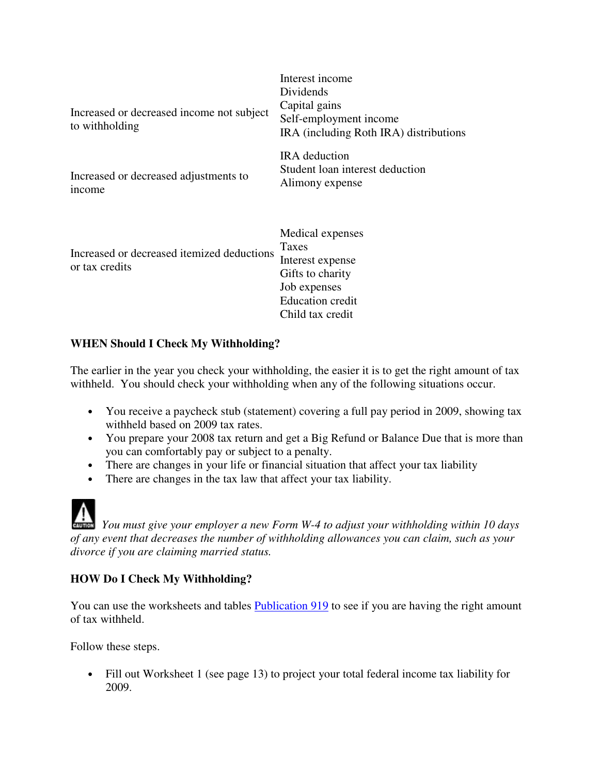| Increased or decreased income not subject<br>to withholding  | Interest income<br>Dividends<br>Capital gains<br>Self-employment income<br>IRA (including Roth IRA) distributions                |
|--------------------------------------------------------------|----------------------------------------------------------------------------------------------------------------------------------|
| Increased or decreased adjustments to<br>income              | <b>IRA</b> deduction<br>Student loan interest deduction<br>Alimony expense                                                       |
| Increased or decreased itemized deductions<br>or tax credits | Medical expenses<br>Taxes<br>Interest expense<br>Gifts to charity<br>Job expenses<br><b>Education</b> credit<br>Child tax credit |

## **WHEN Should I Check My Withholding?**

The earlier in the year you check your withholding, the easier it is to get the right amount of tax withheld. You should check your withholding when any of the following situations occur.

- You receive a paycheck stub (statement) covering a full pay period in 2009, showing tax withheld based on 2009 tax rates.
- You prepare your 2008 tax return and get a Big Refund or Balance Due that is more than you can comfortably pay or subject to a penalty.

*You must give your employer a new Form W-4 to adjust your withholding within 10 days* 

- There are changes in your life or financial situation that affect your tax liability
- There are changes in the tax law that affect your tax liability.

## *of any event that decreases the number of withholding allowances you can claim, such as your divorce if you are claiming married status.*

## **HOW Do I Check My Withholding?**

You can use the worksheets and tables **Publication 919** to see if you are having the right amount of tax withheld.

Follow these steps.

• Fill out Worksheet 1 (see page 13) to project your total federal income tax liability for 2009.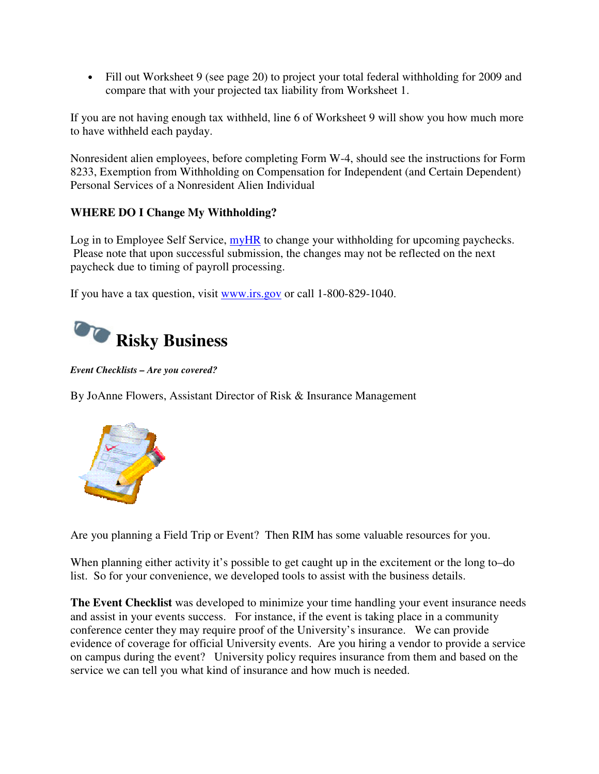• Fill out Worksheet 9 (see page 20) to project your total federal withholding for 2009 and compare that with your projected tax liability from Worksheet 1.

If you are not having enough tax withheld, line 6 of Worksheet 9 will show you how much more to have withheld each payday.

Nonresident alien employees, before completing Form W-4, should see the instructions for Form 8233, Exemption from Withholding on Compensation for Independent (and Certain Dependent) Personal Services of a Nonresident Alien Individual

## **WHERE DO I Change My Withholding?**

Log in to Employee Self Service, myHR to change your withholding for upcoming paychecks. Please note that upon successful submission, the changes may not be reflected on the next paycheck due to timing of payroll processing.

If you have a tax question, visit www.irs.gov or call 1-800-829-1040.



*Event Checklists – Are you covered?* 

By JoAnne Flowers, Assistant Director of Risk & Insurance Management



Are you planning a Field Trip or Event? Then RIM has some valuable resources for you.

When planning either activity it's possible to get caught up in the excitement or the long to–do list. So for your convenience, we developed tools to assist with the business details.

**The Event Checklist** was developed to minimize your time handling your event insurance needs and assist in your events success. For instance, if the event is taking place in a community conference center they may require proof of the University's insurance. We can provide evidence of coverage for official University events. Are you hiring a vendor to provide a service on campus during the event? University policy requires insurance from them and based on the service we can tell you what kind of insurance and how much is needed.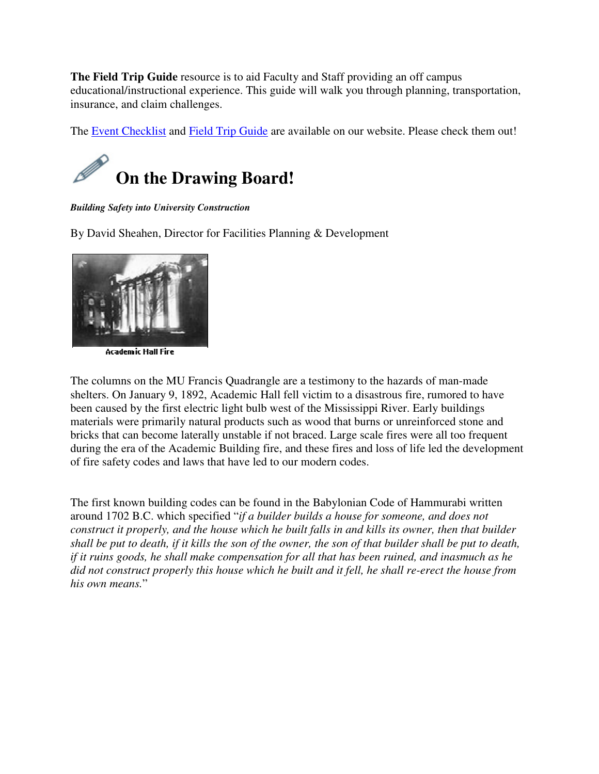**The Field Trip Guide** resource is to aid Faculty and Staff providing an off campus educational/instructional experience. This guide will walk you through planning, transportation, insurance, and claim challenges.

The Event Checklist and Field Trip Guide are available on our website. Please check them out!



*Building Safety into University Construction*

By David Sheahen, Director for Facilities Planning & Development



**Academic Hall Fire** 

The columns on the MU Francis Quadrangle are a testimony to the hazards of man-made shelters. On January 9, 1892, Academic Hall fell victim to a disastrous fire, rumored to have been caused by the first electric light bulb west of the Mississippi River. Early buildings materials were primarily natural products such as wood that burns or unreinforced stone and bricks that can become laterally unstable if not braced. Large scale fires were all too frequent during the era of the Academic Building fire, and these fires and loss of life led the development of fire safety codes and laws that have led to our modern codes.

The first known building codes can be found in the Babylonian Code of Hammurabi written around 1702 B.C. which specified "*if a builder builds a house for someone, and does not construct it properly, and the house which he built falls in and kills its owner, then that builder shall be put to death, if it kills the son of the owner, the son of that builder shall be put to death, if it ruins goods, he shall make compensation for all that has been ruined, and inasmuch as he did not construct properly this house which he built and it fell, he shall re-erect the house from his own means.*"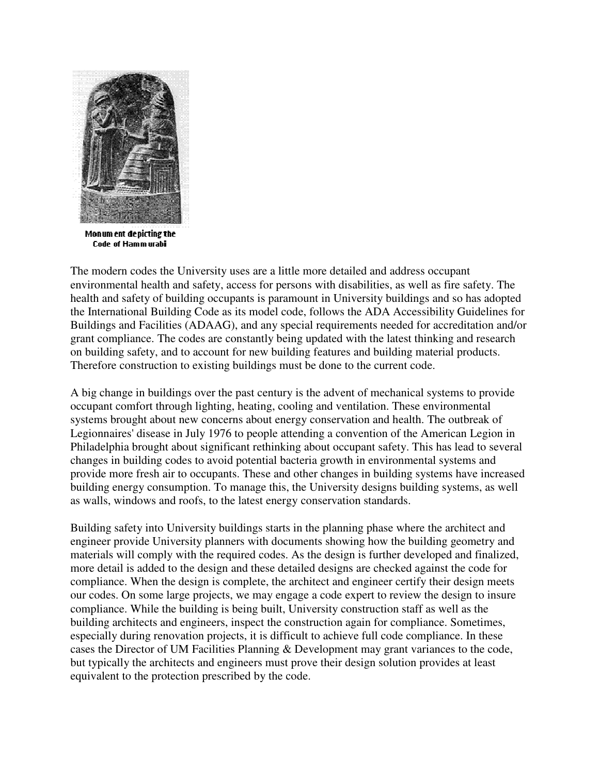

Monum ent depicting the **Code of Hammurabi** 

The modern codes the University uses are a little more detailed and address occupant environmental health and safety, access for persons with disabilities, as well as fire safety. The health and safety of building occupants is paramount in University buildings and so has adopted the International Building Code as its model code, follows the ADA Accessibility Guidelines for Buildings and Facilities (ADAAG), and any special requirements needed for accreditation and/or grant compliance. The codes are constantly being updated with the latest thinking and research on building safety, and to account for new building features and building material products. Therefore construction to existing buildings must be done to the current code.

A big change in buildings over the past century is the advent of mechanical systems to provide occupant comfort through lighting, heating, cooling and ventilation. These environmental systems brought about new concerns about energy conservation and health. The outbreak of Legionnaires' disease in July 1976 to people attending a convention of the American Legion in Philadelphia brought about significant rethinking about occupant safety. This has lead to several changes in building codes to avoid potential bacteria growth in environmental systems and provide more fresh air to occupants. These and other changes in building systems have increased building energy consumption. To manage this, the University designs building systems, as well as walls, windows and roofs, to the latest energy conservation standards.

Building safety into University buildings starts in the planning phase where the architect and engineer provide University planners with documents showing how the building geometry and materials will comply with the required codes. As the design is further developed and finalized, more detail is added to the design and these detailed designs are checked against the code for compliance. When the design is complete, the architect and engineer certify their design meets our codes. On some large projects, we may engage a code expert to review the design to insure compliance. While the building is being built, University construction staff as well as the building architects and engineers, inspect the construction again for compliance. Sometimes, especially during renovation projects, it is difficult to achieve full code compliance. In these cases the Director of UM Facilities Planning & Development may grant variances to the code, but typically the architects and engineers must prove their design solution provides at least equivalent to the protection prescribed by the code.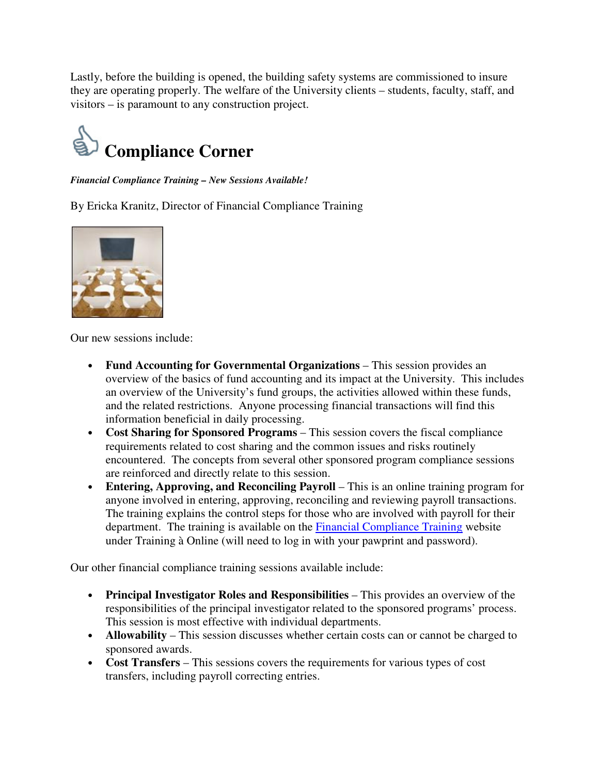Lastly, before the building is opened, the building safety systems are commissioned to insure they are operating properly. The welfare of the University clients – students, faculty, staff, and visitors – is paramount to any construction project.



*Financial Compliance Training – New Sessions Available!*

By Ericka Kranitz, Director of Financial Compliance Training



Our new sessions include:

- **Fund Accounting for Governmental Organizations** This session provides an overview of the basics of fund accounting and its impact at the University. This includes an overview of the University's fund groups, the activities allowed within these funds, and the related restrictions. Anyone processing financial transactions will find this information beneficial in daily processing.
- **Cost Sharing for Sponsored Programs** This session covers the fiscal compliance requirements related to cost sharing and the common issues and risks routinely encountered. The concepts from several other sponsored program compliance sessions are reinforced and directly relate to this session.
- **Entering, Approving, and Reconciling Payroll** This is an online training program for anyone involved in entering, approving, reconciling and reviewing payroll transactions. The training explains the control steps for those who are involved with payroll for their department. The training is available on the Financial Compliance Training website under Training à Online (will need to log in with your pawprint and password).

Our other financial compliance training sessions available include:

- **Principal Investigator Roles and Responsibilities** This provides an overview of the responsibilities of the principal investigator related to the sponsored programs' process. This session is most effective with individual departments.
- **Allowability** This session discusses whether certain costs can or cannot be charged to sponsored awards.
- **Cost Transfers** This sessions covers the requirements for various types of cost transfers, including payroll correcting entries.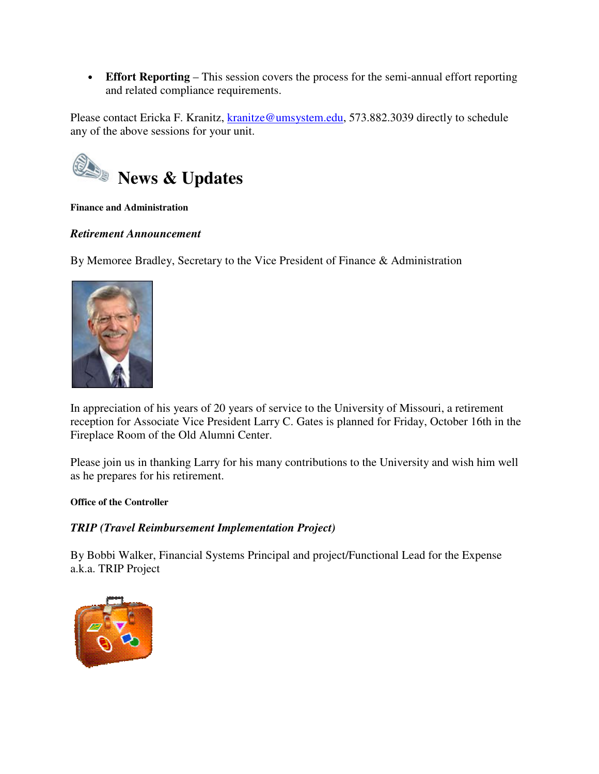• **Effort Reporting** – This session covers the process for the semi-annual effort reporting and related compliance requirements.

Please contact Ericka F. Kranitz, kranitze@umsystem.edu, 573.882.3039 directly to schedule any of the above sessions for your unit.



#### **Finance and Administration**

### *Retirement Announcement*

By Memoree Bradley, Secretary to the Vice President of Finance & Administration



In appreciation of his years of 20 years of service to the University of Missouri, a retirement reception for Associate Vice President Larry C. Gates is planned for Friday, October 16th in the Fireplace Room of the Old Alumni Center.

Please join us in thanking Larry for his many contributions to the University and wish him well as he prepares for his retirement.

#### **Office of the Controller**

### *TRIP (Travel Reimbursement Implementation Project)*

By Bobbi Walker, Financial Systems Principal and project/Functional Lead for the Expense a.k.a. TRIP Project

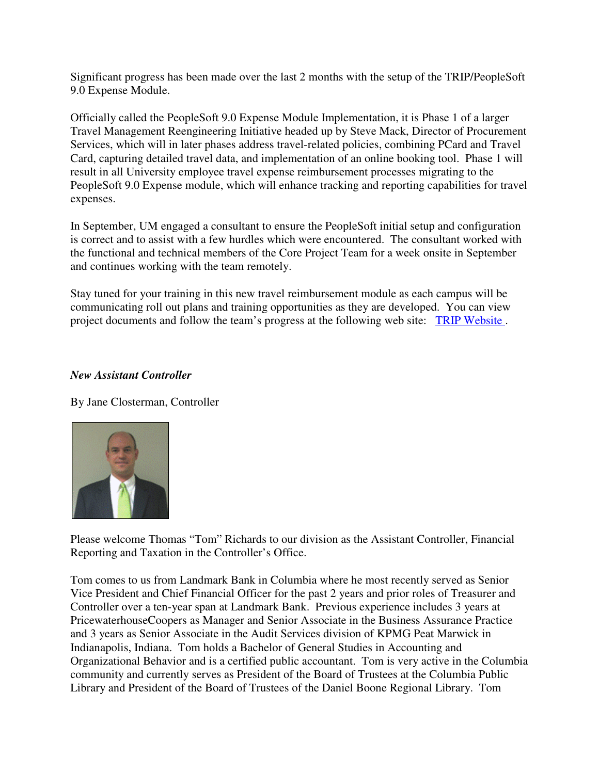Significant progress has been made over the last 2 months with the setup of the TRIP/PeopleSoft 9.0 Expense Module.

Officially called the PeopleSoft 9.0 Expense Module Implementation, it is Phase 1 of a larger Travel Management Reengineering Initiative headed up by Steve Mack, Director of Procurement Services, which will in later phases address travel-related policies, combining PCard and Travel Card, capturing detailed travel data, and implementation of an online booking tool. Phase 1 will result in all University employee travel expense reimbursement processes migrating to the PeopleSoft 9.0 Expense module, which will enhance tracking and reporting capabilities for travel expenses.

In September, UM engaged a consultant to ensure the PeopleSoft initial setup and configuration is correct and to assist with a few hurdles which were encountered. The consultant worked with the functional and technical members of the Core Project Team for a week onsite in September and continues working with the team remotely.

Stay tuned for your training in this new travel reimbursement module as each campus will be communicating roll out plans and training opportunities as they are developed. You can view project documents and follow the team's progress at the following web site: TRIP Website .

#### *New Assistant Controller*

By Jane Closterman, Controller



Please welcome Thomas "Tom" Richards to our division as the Assistant Controller, Financial Reporting and Taxation in the Controller's Office.

Tom comes to us from Landmark Bank in Columbia where he most recently served as Senior Vice President and Chief Financial Officer for the past 2 years and prior roles of Treasurer and Controller over a ten-year span at Landmark Bank. Previous experience includes 3 years at PricewaterhouseCoopers as Manager and Senior Associate in the Business Assurance Practice and 3 years as Senior Associate in the Audit Services division of KPMG Peat Marwick in Indianapolis, Indiana. Tom holds a Bachelor of General Studies in Accounting and Organizational Behavior and is a certified public accountant. Tom is very active in the Columbia community and currently serves as President of the Board of Trustees at the Columbia Public Library and President of the Board of Trustees of the Daniel Boone Regional Library. Tom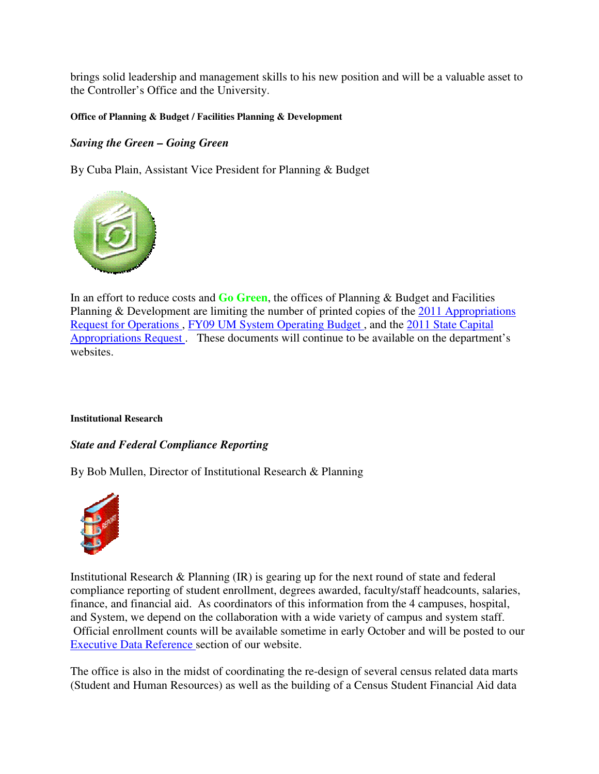brings solid leadership and management skills to his new position and will be a valuable asset to the Controller's Office and the University.

#### **Office of Planning & Budget / Facilities Planning & Development**

### *Saving the Green – Going Green*

By Cuba Plain, Assistant Vice President for Planning & Budget



In an effort to reduce costs and **Go Green**, the offices of Planning & Budget and Facilities Planning & Development are limiting the number of printed copies of the 2011 Appropriations Request for Operations , FY09 UM System Operating Budget , and the 2011 State Capital Appropriations Request . These documents will continue to be available on the department's websites.

#### **Institutional Research**

#### *State and Federal Compliance Reporting*

By Bob Mullen, Director of Institutional Research & Planning



Institutional Research & Planning (IR) is gearing up for the next round of state and federal compliance reporting of student enrollment, degrees awarded, faculty/staff headcounts, salaries, finance, and financial aid. As coordinators of this information from the 4 campuses, hospital, and System, we depend on the collaboration with a wide variety of campus and system staff. Official enrollment counts will be available sometime in early October and will be posted to our Executive Data Reference section of our website.

The office is also in the midst of coordinating the re-design of several census related data marts (Student and Human Resources) as well as the building of a Census Student Financial Aid data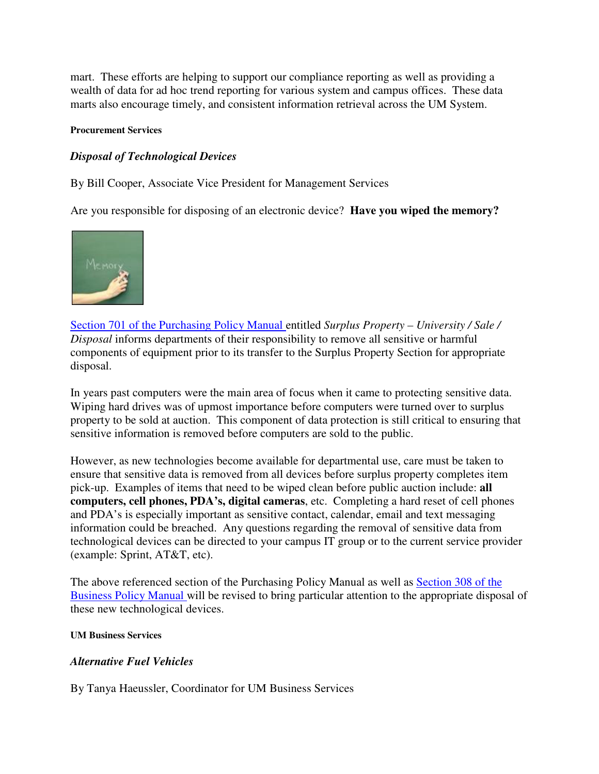mart. These efforts are helping to support our compliance reporting as well as providing a wealth of data for ad hoc trend reporting for various system and campus offices. These data marts also encourage timely, and consistent information retrieval across the UM System.

#### **Procurement Services**

#### *Disposal of Technological Devices*

By Bill Cooper, Associate Vice President for Management Services

Are you responsible for disposing of an electronic device? **Have you wiped the memory?**



Section 701 of the Purchasing Policy Manual entitled *Surplus Property – University / Sale / Disposal* informs departments of their responsibility to remove all sensitive or harmful components of equipment prior to its transfer to the Surplus Property Section for appropriate disposal.

In years past computers were the main area of focus when it came to protecting sensitive data. Wiping hard drives was of upmost importance before computers were turned over to surplus property to be sold at auction. This component of data protection is still critical to ensuring that sensitive information is removed before computers are sold to the public.

However, as new technologies become available for departmental use, care must be taken to ensure that sensitive data is removed from all devices before surplus property completes item pick-up. Examples of items that need to be wiped clean before public auction include: **all computers, cell phones, PDA's, digital cameras**, etc. Completing a hard reset of cell phones and PDA's is especially important as sensitive contact, calendar, email and text messaging information could be breached. Any questions regarding the removal of sensitive data from technological devices can be directed to your campus IT group or to the current service provider (example: Sprint, AT&T, etc).

The above referenced section of the Purchasing Policy Manual as well as Section 308 of the Business Policy Manual will be revised to bring particular attention to the appropriate disposal of these new technological devices.

#### **UM Business Services**

#### *Alternative Fuel Vehicles*

By Tanya Haeussler, Coordinator for UM Business Services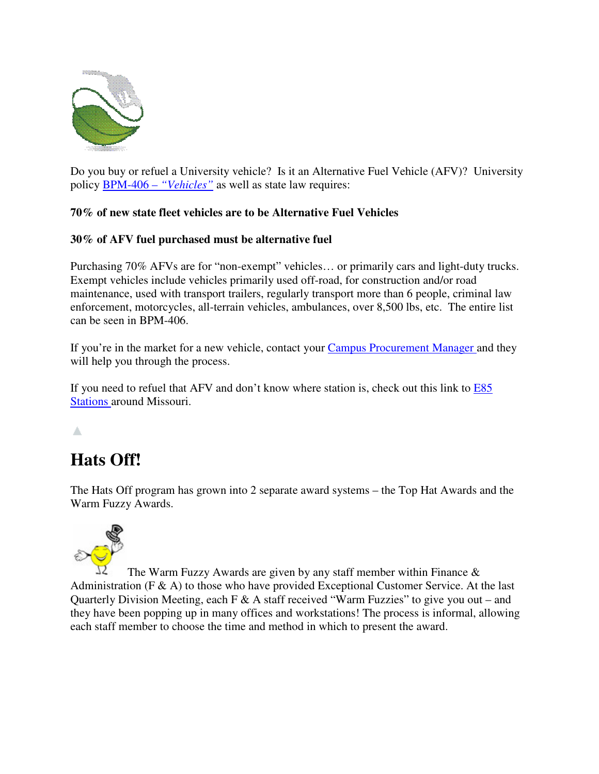

Do you buy or refuel a University vehicle? Is it an Alternative Fuel Vehicle (AFV)? University policy BPM-406 – *"Vehicles"* as well as state law requires:

## **70% of new state fleet vehicles are to be Alternative Fuel Vehicles**

## **30% of AFV fuel purchased must be alternative fuel**

Purchasing 70% AFVs are for "non-exempt" vehicles… or primarily cars and light-duty trucks. Exempt vehicles include vehicles primarily used off-road, for construction and/or road maintenance, used with transport trailers, regularly transport more than 6 people, criminal law enforcement, motorcycles, all-terrain vehicles, ambulances, over 8,500 lbs, etc. The entire list can be seen in BPM-406.

If you're in the market for a new vehicle, contact your **Campus Procurement Manager** and they will help you through the process.

If you need to refuel that AFV and don't know where station is, check out this link to E85 Stations around Missouri.

## Δ

# **Hats Off!**

The Hats Off program has grown into 2 separate award systems – the Top Hat Awards and the Warm Fuzzy Awards.



The Warm Fuzzy Awards are given by any staff member within Finance & Administration (F & A) to those who have provided Exceptional Customer Service. At the last Quarterly Division Meeting, each F & A staff received "Warm Fuzzies" to give you out – and they have been popping up in many offices and workstations! The process is informal, allowing each staff member to choose the time and method in which to present the award.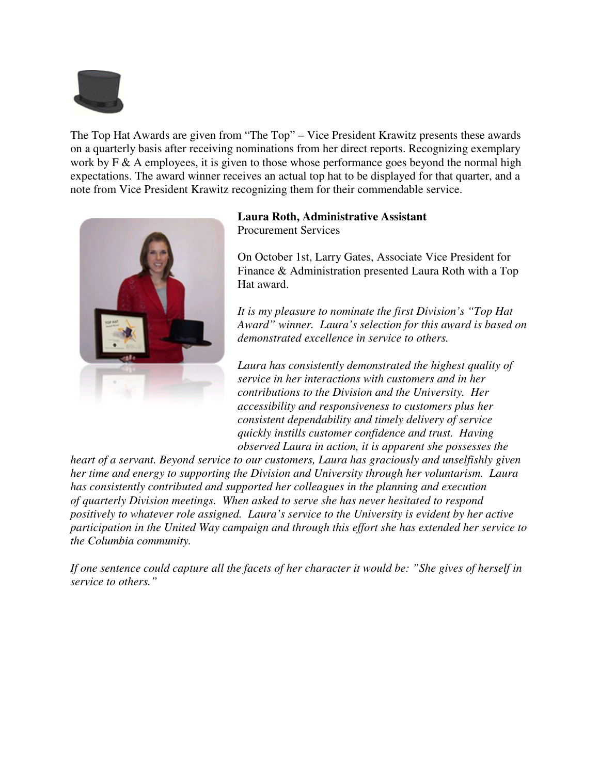

The Top Hat Awards are given from "The Top" – Vice President Krawitz presents these awards on a quarterly basis after receiving nominations from her direct reports. Recognizing exemplary work by F & A employees, it is given to those whose performance goes beyond the normal high expectations. The award winner receives an actual top hat to be displayed for that quarter, and a note from Vice President Krawitz recognizing them for their commendable service.



## **Laura Roth, Administrative Assistant**

Procurement Services

On October 1st, Larry Gates, Associate Vice President for Finance & Administration presented Laura Roth with a Top Hat award.

*It is my pleasure to nominate the first Division's "Top Hat Award" winner. Laura's selection for this award is based on demonstrated excellence in service to others.*

*Laura has consistently demonstrated the highest quality of service in her interactions with customers and in her contributions to the Division and the University. Her accessibility and responsiveness to customers plus her consistent dependability and timely delivery of service quickly instills customer confidence and trust. Having observed Laura in action, it is apparent she possesses the* 

*heart of a servant. Beyond service to our customers, Laura has graciously and unselfishly given her time and energy to supporting the Division and University through her voluntarism. Laura has consistently contributed and supported her colleagues in the planning and execution of quarterly Division meetings. When asked to serve she has never hesitated to respond positively to whatever role assigned. Laura's service to the University is evident by her active participation in the United Way campaign and through this effort she has extended her service to the Columbia community.*

*If one sentence could capture all the facets of her character it would be: "She gives of herself in service to others."*